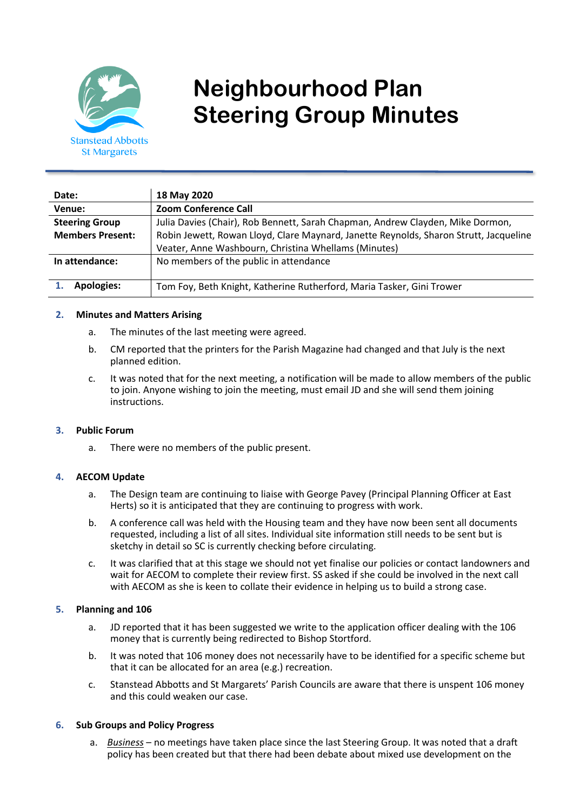

# **Neighbourhood Plan Steering Group Minutes**

| Date:                   | 18 May 2020                                                                           |
|-------------------------|---------------------------------------------------------------------------------------|
| Venue:                  | <b>Zoom Conference Call</b>                                                           |
| <b>Steering Group</b>   | Julia Davies (Chair), Rob Bennett, Sarah Chapman, Andrew Clayden, Mike Dormon,        |
| <b>Members Present:</b> | Robin Jewett, Rowan Lloyd, Clare Maynard, Janette Reynolds, Sharon Strutt, Jacqueline |
|                         | Veater, Anne Washbourn, Christina Whellams (Minutes)                                  |
| In attendance:          | No members of the public in attendance                                                |
| <b>Apologies:</b>       | Tom Foy, Beth Knight, Katherine Rutherford, Maria Tasker, Gini Trower                 |

#### **2. Minutes and Matters Arising**

- a. The minutes of the last meeting were agreed.
- b. CM reported that the printers for the Parish Magazine had changed and that July is the next planned edition.
- c. It was noted that for the next meeting, a notification will be made to allow members of the public to join. Anyone wishing to join the meeting, must email JD and she will send them joining instructions.

#### **3. Public Forum**

a. There were no members of the public present.

#### **4. AECOM Update**

- a. The Design team are continuing to liaise with George Pavey (Principal Planning Officer at East Herts) so it is anticipated that they are continuing to progress with work.
- b. A conference call was held with the Housing team and they have now been sent all documents requested, including a list of all sites. Individual site information still needs to be sent but is sketchy in detail so SC is currently checking before circulating.
- c. It was clarified that at this stage we should not yet finalise our policies or contact landowners and wait for AECOM to complete their review first. SS asked if she could be involved in the next call with AECOM as she is keen to collate their evidence in helping us to build a strong case.

#### **5. Planning and 106**

- a. JD reported that it has been suggested we write to the application officer dealing with the 106 money that is currently being redirected to Bishop Stortford.
- b. It was noted that 106 money does not necessarily have to be identified for a specific scheme but that it can be allocated for an area (e.g.) recreation.
- c. Stanstead Abbotts and St Margarets' Parish Councils are aware that there is unspent 106 money and this could weaken our case.

#### **6. Sub Groups and Policy Progress**

a. *Business* – no meetings have taken place since the last Steering Group. It was noted that a draft policy has been created but that there had been debate about mixed use development on the